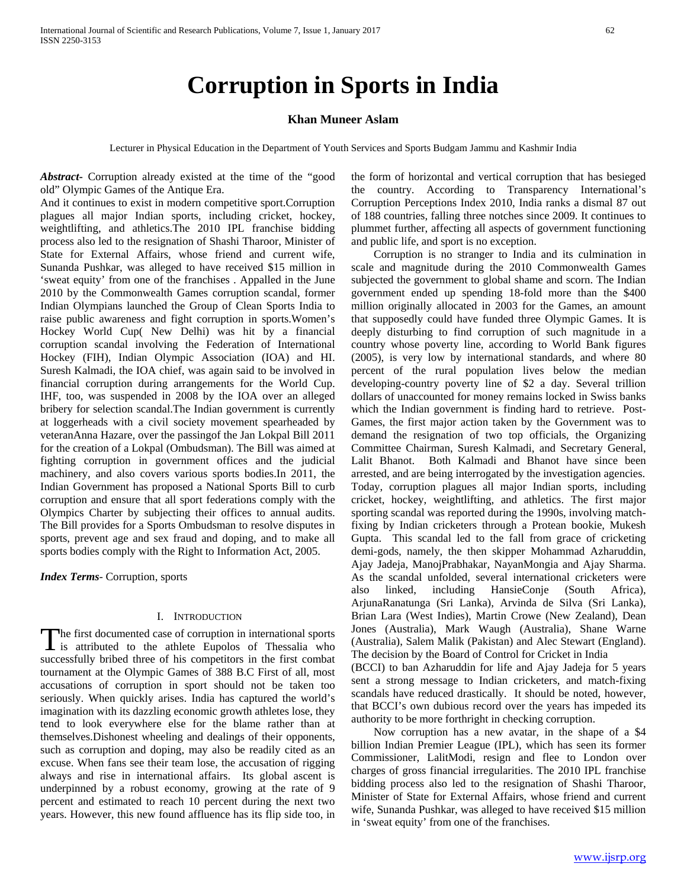# **Corruption in Sports in India**

## **Khan Muneer Aslam**

Lecturer in Physical Education in the Department of Youth Services and Sports Budgam Jammu and Kashmir India

*Abstract***-** Corruption already existed at the time of the "good old" Olympic Games of the Antique Era.

And it continues to exist in modern competitive sport.Corruption plagues all major Indian sports, including cricket, hockey, weightlifting, and athletics.The 2010 IPL franchise bidding process also led to the resignation of Shashi Tharoor, Minister of State for External Affairs, whose friend and current wife, Sunanda Pushkar, was alleged to have received \$15 million in 'sweat equity' from one of the franchises . Appalled in the June 2010 by the Commonwealth Games corruption scandal, former Indian Olympians launched the Group of Clean Sports India to raise public awareness and fight corruption in sports.Women's Hockey World Cup( New Delhi) was hit by a financial corruption scandal involving the Federation of International Hockey (FIH), Indian Olympic Association (IOA) and HI. Suresh Kalmadi, the IOA chief, was again said to be involved in financial corruption during arrangements for the World Cup. IHF, too, was suspended in 2008 by the IOA over an alleged bribery for selection scandal.The Indian government is currently at loggerheads with a civil society movement spearheaded by veteranAnna Hazare, over the passingof the Jan Lokpal Bill 2011 for the creation of a Lokpal (Ombudsman). The Bill was aimed at fighting corruption in government offices and the judicial machinery, and also covers various sports bodies.In 2011, the Indian Government has proposed a National Sports Bill to curb corruption and ensure that all sport federations comply with the Olympics Charter by subjecting their offices to annual audits. The Bill provides for a Sports Ombudsman to resolve disputes in sports, prevent age and sex fraud and doping, and to make all sports bodies comply with the Right to Information Act, 2005.

*Index Terms*- Corruption, sports

### I. INTRODUCTION

he first documented case of corruption in international sports The first documented case of corruption in international sports<br>is attributed to the athlete Eupolos of Thessalia who successfully bribed three of his competitors in the first combat tournament at the Olympic Games of 388 B.C First of all, most accusations of corruption in sport should not be taken too seriously. When quickly arises. India has captured the world's imagination with its dazzling economic growth athletes lose, they tend to look everywhere else for the blame rather than at themselves.Dishonest wheeling and dealings of their opponents, such as corruption and doping, may also be readily cited as an excuse. When fans see their team lose, the accusation of rigging always and rise in international affairs. Its global ascent is underpinned by a robust economy, growing at the rate of 9 percent and estimated to reach 10 percent during the next two years. However, this new found affluence has its flip side too, in

the form of horizontal and vertical corruption that has besieged the country. According to Transparency International's Corruption Perceptions Index 2010, India ranks a dismal 87 out of 188 countries, falling three notches since 2009. It continues to plummet further, affecting all aspects of government functioning and public life, and sport is no exception.

 Corruption is no stranger to India and its culmination in scale and magnitude during the 2010 Commonwealth Games subjected the government to global shame and scorn. The Indian government ended up spending 18-fold more than the \$400 million originally allocated in 2003 for the Games, an amount that supposedly could have funded three Olympic Games. It is deeply disturbing to find corruption of such magnitude in a country whose poverty line, according to World Bank figures (2005), is very low by international standards, and where 80 percent of the rural population lives below the median developing-country poverty line of \$2 a day. Several trillion dollars of unaccounted for money remains locked in Swiss banks which the Indian government is finding hard to retrieve. Post-Games, the first major action taken by the Government was to demand the resignation of two top officials, the Organizing Committee Chairman, Suresh Kalmadi, and Secretary General, Lalit Bhanot. Both Kalmadi and Bhanot have since been arrested, and are being interrogated by the investigation agencies. Today, corruption plagues all major Indian sports, including cricket, hockey, weightlifting, and athletics. The first major sporting scandal was reported during the 1990s, involving matchfixing by Indian cricketers through a Protean bookie, Mukesh Gupta. This scandal led to the fall from grace of cricketing demi-gods, namely, the then skipper Mohammad Azharuddin, Ajay Jadeja, ManojPrabhakar, NayanMongia and Ajay Sharma. As the scandal unfolded, several international cricketers were also linked, including HansieConje (South Africa), ArjunaRanatunga (Sri Lanka), Arvinda de Silva (Sri Lanka), Brian Lara (West Indies), Martin Crowe (New Zealand), Dean Jones (Australia), Mark Waugh (Australia), Shane Warne (Australia), Salem Malik (Pakistan) and Alec Stewart (England). The decision by the Board of Control for Cricket in India (BCCI) to ban Azharuddin for life and Ajay Jadeja for 5 years sent a strong message to Indian cricketers, and match-fixing scandals have reduced drastically. It should be noted, however,

authority to be more forthright in checking corruption. Now corruption has a new avatar, in the shape of a \$4 billion Indian Premier League (IPL), which has seen its former Commissioner, LalitModi, resign and flee to London over charges of gross financial irregularities. The 2010 IPL franchise bidding process also led to the resignation of Shashi Tharoor, Minister of State for External Affairs, whose friend and current wife, Sunanda Pushkar, was alleged to have received \$15 million in 'sweat equity' from one of the franchises.

that BCCI's own dubious record over the years has impeded its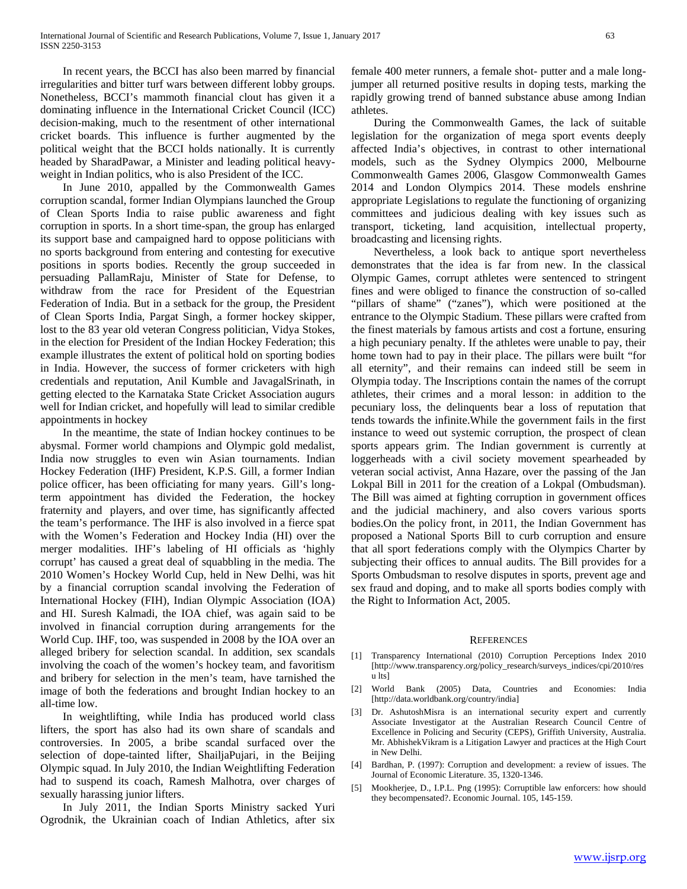In recent years, the BCCI has also been marred by financial irregularities and bitter turf wars between different lobby groups. Nonetheless, BCCI's mammoth financial clout has given it a dominating influence in the International Cricket Council (ICC) decision-making, much to the resentment of other international cricket boards. This influence is further augmented by the political weight that the BCCI holds nationally. It is currently headed by SharadPawar, a Minister and leading political heavyweight in Indian politics, who is also President of the ICC.

 In June 2010, appalled by the Commonwealth Games corruption scandal, former Indian Olympians launched the Group of Clean Sports India to raise public awareness and fight corruption in sports. In a short time-span, the group has enlarged its support base and campaigned hard to oppose politicians with no sports background from entering and contesting for executive positions in sports bodies. Recently the group succeeded in persuading PallamRaju, Minister of State for Defense, to withdraw from the race for President of the Equestrian Federation of India. But in a setback for the group, the President of Clean Sports India, Pargat Singh, a former hockey skipper, lost to the 83 year old veteran Congress politician, Vidya Stokes, in the election for President of the Indian Hockey Federation; this example illustrates the extent of political hold on sporting bodies in India. However, the success of former cricketers with high credentials and reputation, Anil Kumble and JavagalSrinath, in getting elected to the Karnataka State Cricket Association augurs well for Indian cricket, and hopefully will lead to similar credible appointments in hockey

 In the meantime, the state of Indian hockey continues to be abysmal. Former world champions and Olympic gold medalist, India now struggles to even win Asian tournaments. Indian Hockey Federation (IHF) President, K.P.S. Gill, a former Indian police officer, has been officiating for many years. Gill's longterm appointment has divided the Federation, the hockey fraternity and players, and over time, has significantly affected the team's performance. The IHF is also involved in a fierce spat with the Women's Federation and Hockey India (HI) over the merger modalities. IHF's labeling of HI officials as 'highly corrupt' has caused a great deal of squabbling in the media. The 2010 Women's Hockey World Cup, held in New Delhi, was hit by a financial corruption scandal involving the Federation of International Hockey (FIH), Indian Olympic Association (IOA) and HI. Suresh Kalmadi, the IOA chief, was again said to be involved in financial corruption during arrangements for the World Cup. IHF, too, was suspended in 2008 by the IOA over an alleged bribery for selection scandal. In addition, sex scandals involving the coach of the women's hockey team, and favoritism and bribery for selection in the men's team, have tarnished the image of both the federations and brought Indian hockey to an all-time low.

 In weightlifting, while India has produced world class lifters, the sport has also had its own share of scandals and controversies. In 2005, a bribe scandal surfaced over the selection of dope-tainted lifter, ShailjaPujari, in the Beijing Olympic squad. In July 2010, the Indian Weightlifting Federation had to suspend its coach, Ramesh Malhotra, over charges of sexually harassing junior lifters.

 In July 2011, the Indian Sports Ministry sacked Yuri Ogrodnik, the Ukrainian coach of Indian Athletics, after six

female 400 meter runners, a female shot- putter and a male longjumper all returned positive results in doping tests, marking the rapidly growing trend of banned substance abuse among Indian athletes.

 During the Commonwealth Games, the lack of suitable legislation for the organization of mega sport events deeply affected India's objectives, in contrast to other international models, such as the Sydney Olympics 2000, Melbourne Commonwealth Games 2006, Glasgow Commonwealth Games 2014 and London Olympics 2014. These models enshrine appropriate Legislations to regulate the functioning of organizing committees and judicious dealing with key issues such as transport, ticketing, land acquisition, intellectual property, broadcasting and licensing rights.

 Nevertheless, a look back to antique sport nevertheless demonstrates that the idea is far from new. In the classical Olympic Games, corrupt athletes were sentenced to stringent fines and were obliged to finance the construction of so-called "pillars of shame" ("zanes"), which were positioned at the entrance to the Olympic Stadium. These pillars were crafted from the finest materials by famous artists and cost a fortune, ensuring a high pecuniary penalty. If the athletes were unable to pay, their home town had to pay in their place. The pillars were built "for all eternity", and their remains can indeed still be seem in Olympia today. The Inscriptions contain the names of the corrupt athletes, their crimes and a moral lesson: in addition to the pecuniary loss, the delinquents bear a loss of reputation that tends towards the infinite.While the government fails in the first instance to weed out systemic corruption, the prospect of clean sports appears grim. The Indian government is currently at loggerheads with a civil society movement spearheaded by veteran social activist, Anna Hazare, over the passing of the Jan Lokpal Bill in 2011 for the creation of a Lokpal (Ombudsman). The Bill was aimed at fighting corruption in government offices and the judicial machinery, and also covers various sports bodies.On the policy front, in 2011, the Indian Government has proposed a National Sports Bill to curb corruption and ensure that all sport federations comply with the Olympics Charter by subjecting their offices to annual audits. The Bill provides for a Sports Ombudsman to resolve disputes in sports, prevent age and sex fraud and doping, and to make all sports bodies comply with the Right to Information Act, 2005.

#### **REFERENCES**

- [1] Transparency International (2010) Corruption Perceptions Index 2010 [http://www.transparency.org/policy\_research/surveys\_indices/cpi/2010/res u lts]
- [2] World Bank (2005) Data, Countries and Economies: India [http://data.worldbank.org/country/india]
- [3] Dr. AshutoshMisra is an international security expert and currently Associate Investigator at the Australian Research Council Centre of Excellence in Policing and Security (CEPS), Griffith University, Australia. Mr. AbhishekVikram is a Litigation Lawyer and practices at the High Court in New Delhi.
- [4] Bardhan, P. (1997): Corruption and development: a review of issues. The Journal of Economic Literature. 35, 1320-1346.
- [5] Mookherjee, D., I.P.L. Png (1995): Corruptible law enforcers: how should they becompensated?. Economic Journal. 105, 145-159.